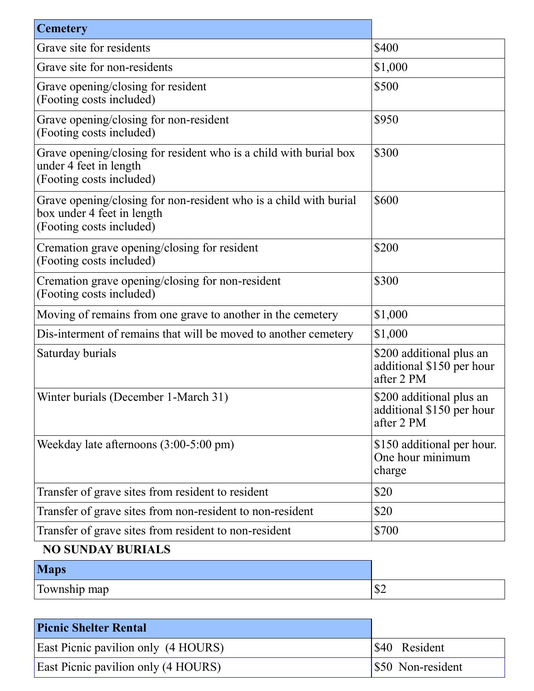| <b>Cemetery</b>                                                                                                             |                                                                     |
|-----------------------------------------------------------------------------------------------------------------------------|---------------------------------------------------------------------|
| Grave site for residents                                                                                                    | \$400                                                               |
| Grave site for non-residents                                                                                                | \$1,000                                                             |
| Grave opening/closing for resident<br>(Footing costs included)                                                              | \$500                                                               |
| Grave opening/closing for non-resident<br>(Footing costs included)                                                          | \$950                                                               |
| Grave opening/closing for resident who is a child with burial box<br>under 4 feet in length<br>(Footing costs included)     | \$300                                                               |
| Grave opening/closing for non-resident who is a child with burial<br>box under 4 feet in length<br>(Footing costs included) | \$600                                                               |
| Cremation grave opening/closing for resident<br>(Footing costs included)                                                    | \$200                                                               |
| Cremation grave opening/closing for non-resident<br>(Footing costs included)                                                | \$300                                                               |
| Moving of remains from one grave to another in the cemetery                                                                 | \$1,000                                                             |
| Dis-interment of remains that will be moved to another cemetery                                                             | \$1,000                                                             |
| Saturday burials                                                                                                            | \$200 additional plus an<br>additional \$150 per hour<br>after 2 PM |
| Winter burials (December 1-March 31)                                                                                        | \$200 additional plus an<br>additional \$150 per hour<br>after 2 PM |
| Weekday late afternoons $(3:00-5:00 \text{ pm})$                                                                            | \$150 additional per hour.<br>One hour minimum<br>charge            |
| Transfer of grave sites from resident to resident                                                                           | \$20                                                                |
| Transfer of grave sites from non-resident to non-resident                                                                   | \$20                                                                |
| Transfer of grave sites from resident to non-resident<br>MA CHNID AV DHDLALA                                                | \$700                                                               |

#### **NO SUNDAY BURIALS**

| <b>Maps</b>  |                   |
|--------------|-------------------|
| Township map | $\triangle$<br>Φ∠ |

| <b>Picnic Shelter Rental</b>               |                     |
|--------------------------------------------|---------------------|
| <b>East Picnic pavilion only (4 HOURS)</b> | <b>S40</b> Resident |
| <b>East Picnic pavilion only (4 HOURS)</b> | \$50 Non-resident   |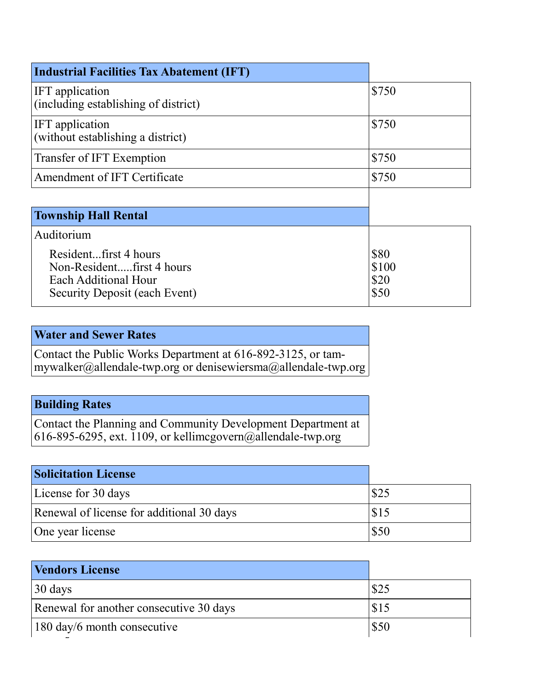| <b>Industrial Facilities Tax Abatement (IFT)</b>                                                            |                               |
|-------------------------------------------------------------------------------------------------------------|-------------------------------|
| IFT application<br>(including establishing of district)                                                     | \$750                         |
| IFT application<br>(without establishing a district)                                                        | \$750                         |
| Transfer of IFT Exemption                                                                                   | \$750                         |
| Amendment of IFT Certificate                                                                                | \$750                         |
|                                                                                                             |                               |
| <b>Township Hall Rental</b>                                                                                 |                               |
| Auditorium                                                                                                  |                               |
| Residentfirst 4 hours<br>Non-Residentfirst 4 hours<br>Each Additional Hour<br>Security Deposit (each Event) | \$80<br>\$100<br>\$20<br>\$50 |

### **Water and Sewer Rates**

Contact the Public Works Department at 616-892-3125, or tammywalker@allendale-twp.org or denisewiersma@allendale-twp.org

### **Building Rates**

Contact the Planning and Community Development Department at 616-895-6295, ext. 1109, or kellimcgovern@allendale-twp.org

| <b>Solicitation License</b>               |      |
|-------------------------------------------|------|
| License for 30 days                       | \$25 |
| Renewal of license for additional 30 days | \$15 |
| One year license                          | \$50 |

| <b>Vendors License</b>                  |      |
|-----------------------------------------|------|
| $30 \text{ days}$                       | \$25 |
| Renewal for another consecutive 30 days | \$15 |
| $180 \text{ day/6 month}$ consecutive   | \$50 |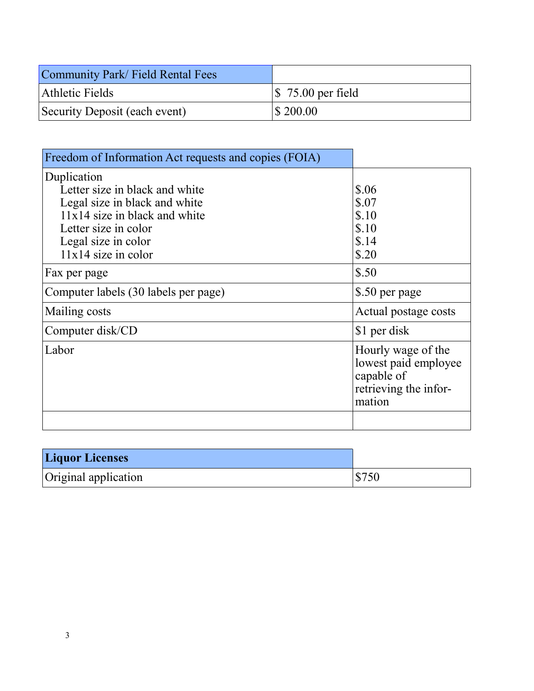| Community Park/ Field Rental Fees |                               |
|-----------------------------------|-------------------------------|
| Athletic Fields                   | $\frac{1}{2}$ 75.00 per field |
| Security Deposit (each event)     | $\frac{1}{200.00}$            |

| Freedom of Information Act requests and copies (FOIA)                                                                                                                                     |                                                                                             |
|-------------------------------------------------------------------------------------------------------------------------------------------------------------------------------------------|---------------------------------------------------------------------------------------------|
| Duplication<br>Letter size in black and white<br>Legal size in black and white<br>$11x14$ size in black and white<br>Letter size in color<br>Legal size in color<br>$11x14$ size in color | \$.06<br>\$.07<br>\$.10<br>\$.10<br>\$.14<br>\$.20                                          |
| Fax per page                                                                                                                                                                              | \$.50                                                                                       |
| Computer labels (30 labels per page)                                                                                                                                                      | \$.50 per page                                                                              |
| Mailing costs                                                                                                                                                                             | Actual postage costs                                                                        |
| Computer disk/CD                                                                                                                                                                          | \$1 per disk                                                                                |
| Labor                                                                                                                                                                                     | Hourly wage of the<br>lowest paid employee<br>capable of<br>retrieving the infor-<br>mation |
|                                                                                                                                                                                           |                                                                                             |

| <b>Liquor Licenses</b> |                    |
|------------------------|--------------------|
| Original application   | $\frac{1}{2}$ 5750 |